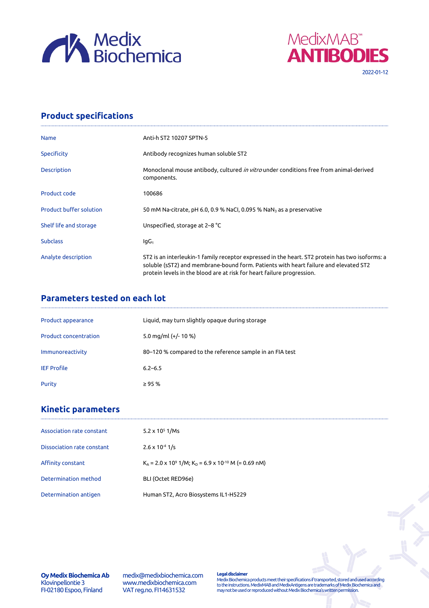



## **Product specifications**

| <b>Name</b>                    | Anti-h ST2 10207 SPTN-5                                                                                                                                                                                                                                           |
|--------------------------------|-------------------------------------------------------------------------------------------------------------------------------------------------------------------------------------------------------------------------------------------------------------------|
| <b>Specificity</b>             | Antibody recognizes human soluble ST2                                                                                                                                                                                                                             |
| <b>Description</b>             | Monoclonal mouse antibody, cultured <i>in vitro</i> under conditions free from animal-derived<br>components.                                                                                                                                                      |
| Product code                   | 100686                                                                                                                                                                                                                                                            |
| <b>Product buffer solution</b> | 50 mM Na-citrate, pH 6.0, 0.9 % NaCl, 0.095 % NaN <sub>3</sub> as a preservative                                                                                                                                                                                  |
| Shelf life and storage         | Unspecified, storage at 2–8 °C                                                                                                                                                                                                                                    |
| <b>Subclass</b>                | lgG <sub>1</sub>                                                                                                                                                                                                                                                  |
| Analyte description            | ST2 is an interleukin-1 family receptor expressed in the heart. ST2 protein has two isoforms: a<br>soluble (sST2) and membrane-bound form. Patients with heart failure and elevated ST2<br>protein levels in the blood are at risk for heart failure progression. |

## **Parameters tested on each lot**

| Product appearance           | Liquid, may turn slightly opaque during storage          |
|------------------------------|----------------------------------------------------------|
| <b>Product concentration</b> | 5.0 mg/ml $(+/- 10 %$                                    |
| Immunoreactivity             | 80-120 % compared to the reference sample in an FIA test |
| <b>IEF Profile</b>           | $6.2 - 6.5$                                              |
| Purity                       | $\geq$ 95 %                                              |

# **Kinetic parameters**

| Association rate constant  | $5.2 \times 10^5$ 1/Ms                                                                           |
|----------------------------|--------------------------------------------------------------------------------------------------|
| Dissociation rate constant | $2.6 \times 10^{-4}$ 1/s                                                                         |
| Affinity constant          | $K_{\Delta}$ = 2.0 x 10 <sup>9</sup> 1/M; K <sub>D</sub> = 6.9 x 10 <sup>-10</sup> M (= 0.69 nM) |
| Determination method       | BLI (Octet RED96e)                                                                               |
| Determination antigen      | Human ST2, Acro Biosystems IL1-H5229                                                             |

**Oy Medix Biochemica Ab** Klovinpellontie 3 FI-02180 Espoo, Finland

medix@medixbiochemica.com www.medixbiochemica.com VAT reg.no. FI14631532

**Legal disclaimer** Medix Biochemica products meet their specifications if transported, stored and used according to the instructions. MedixMAB and MedixAntigens are trademarks of Medix Biochemica and may not be used or reproduced without Medix Biochemica's written permission.